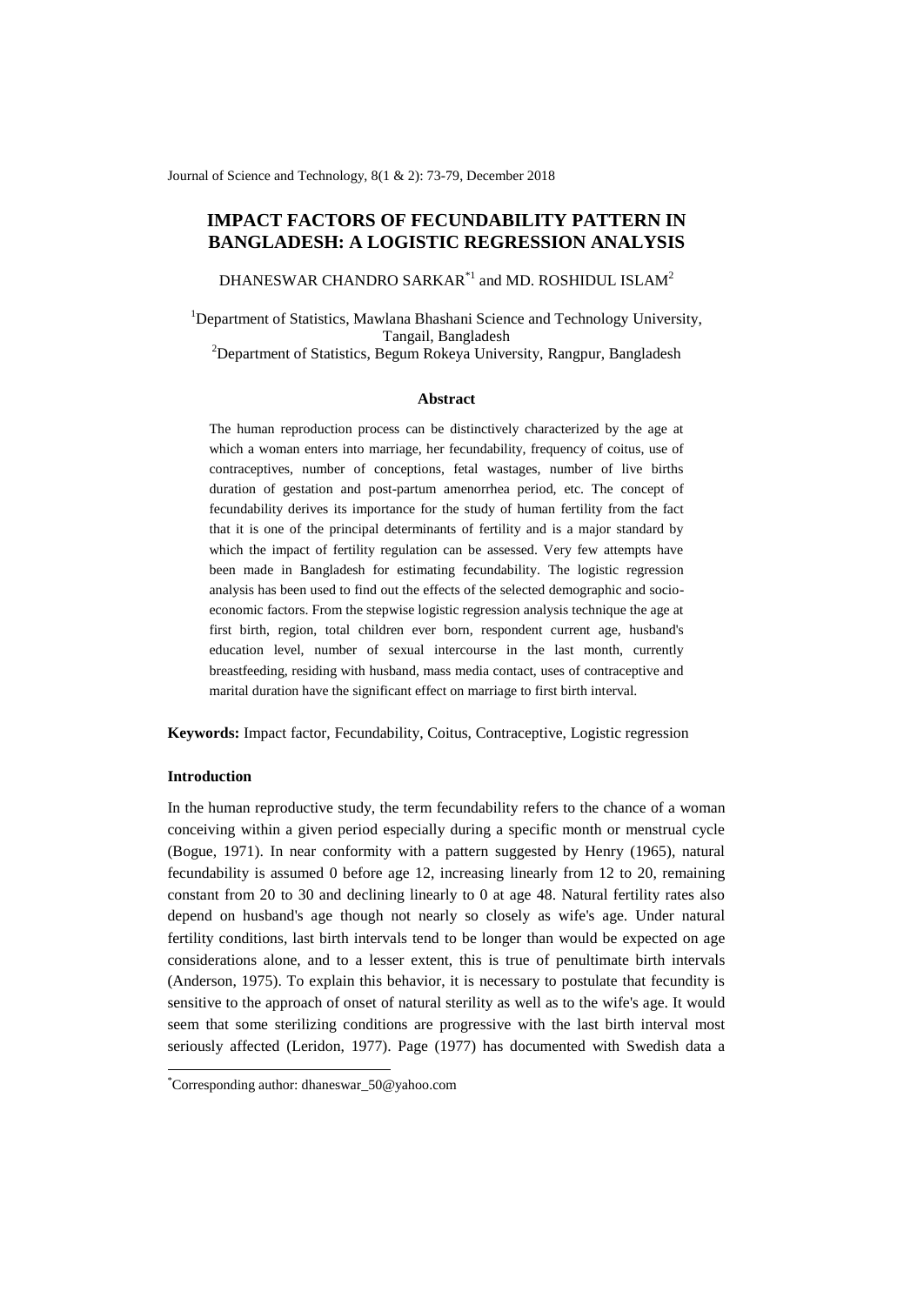Journal of Science and Technology, 8(1 & 2): 73-79, December 2018

# **IMPACT FACTORS OF FECUNDABILITY PATTERN IN BANGLADESH: A LOGISTIC REGRESSION ANALYSIS**

DHANESWAR CHANDRO SARKAR $^\ast{}^{\rm l}$  and MD. ROSHIDUL ISLAM $^{\rm 2}$ 

<sup>1</sup>Department of Statistics, Mawlana Bhashani Science and Technology University, Tangail, Bangladesh

<sup>2</sup>Department of Statistics, Begum Rokeya University, Rangpur, Bangladesh

## **Abstract**

The human reproduction process can be distinctively characterized by the age at which a woman enters into marriage, her fecundability, frequency of coitus, use of contraceptives, number of conceptions, fetal wastages, number of live births duration of gestation and post-partum amenorrhea period, etc. The concept of fecundability derives its importance for the study of human fertility from the fact that it is one of the principal determinants of fertility and is a major standard by which the impact of fertility regulation can be assessed. Very few attempts have been made in Bangladesh for estimating fecundability. The logistic regression analysis has been used to find out the effects of the selected demographic and socioeconomic factors. From the stepwise logistic regression analysis technique the age at first birth, region, total children ever born, respondent current age, husband's education level, number of sexual intercourse in the last month, currently breastfeeding, residing with husband, mass media contact, uses of contraceptive and marital duration have the significant effect on marriage to first birth interval.

**Keywords:** Impact factor, Fecundability, Coitus, Contraceptive, Logistic regression

## **Introduction**

-

In the human reproductive study, the term fecundability refers to the chance of a woman conceiving within a given period especially during a specific month or menstrual cycle (Bogue, 1971). In near conformity with a pattern suggested by Henry (1965), natural fecundability is assumed 0 before age 12, increasing linearly from 12 to 20, remaining constant from 20 to 30 and declining linearly to 0 at age 48. Natural fertility rates also depend on husband's age though not nearly so closely as wife's age. Under natural fertility conditions, last birth intervals tend to be longer than would be expected on age considerations alone, and to a lesser extent, this is true of penultimate birth intervals (Anderson, 1975). To explain this behavior, it is necessary to postulate that fecundity is sensitive to the approach of onset of natural sterility as well as to the wife's age. It would seem that some sterilizing conditions are progressive with the last birth interval most seriously affected (Leridon, 1977). Page (1977) has documented with Swedish data a

<sup>\*</sup>Corresponding author: dhaneswar\_50@yahoo.com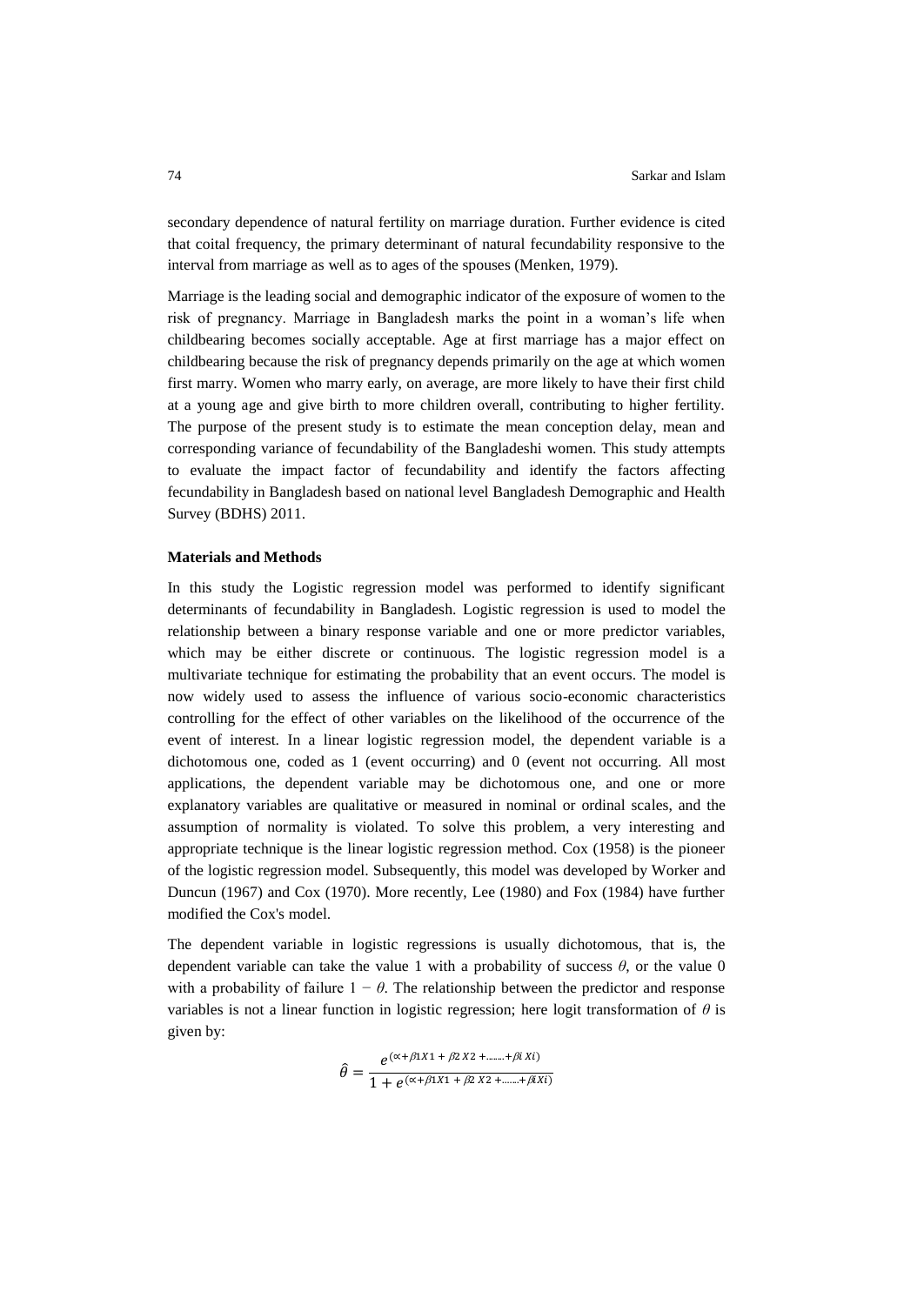secondary dependence of natural fertility on marriage duration. Further evidence is cited that coital frequency, the primary determinant of natural fecundability responsive to the interval from marriage as well as to ages of the spouses (Menken, 1979).

Marriage is the leading social and demographic indicator of the exposure of women to the risk of pregnancy. Marriage in Bangladesh marks the point in a woman's life when childbearing becomes socially acceptable. Age at first marriage has a major effect on childbearing because the risk of pregnancy depends primarily on the age at which women first marry. Women who marry early, on average, are more likely to have their first child at a young age and give birth to more children overall, contributing to higher fertility. The purpose of the present study is to estimate the mean conception delay, mean and corresponding variance of fecundability of the Bangladeshi women. This study attempts to evaluate the impact factor of fecundability and identify the factors affecting fecundability in Bangladesh based on national level Bangladesh Demographic and Health Survey (BDHS) 2011.

### **Materials and Methods**

In this study the Logistic regression model was performed to identify significant determinants of fecundability in Bangladesh. Logistic regression is used to model the relationship between a binary response variable and one or more predictor variables, which may be either discrete or continuous. The logistic regression model is a multivariate technique for estimating the probability that an event occurs. The model is now widely used to assess the influence of various socio-economic characteristics controlling for the effect of other variables on the likelihood of the occurrence of the event of interest. In a linear logistic regression model, the dependent variable is a dichotomous one, coded as 1 (event occurring) and 0 (event not occurring. All most applications, the dependent variable may be dichotomous one, and one or more explanatory variables are qualitative or measured in nominal or ordinal scales, and the assumption of normality is violated. To solve this problem, a very interesting and appropriate technique is the linear logistic regression method. Cox (1958) is the pioneer of the logistic regression model. Subsequently, this model was developed by Worker and Duncun (1967) and Cox (1970). More recently, Lee (1980) and Fox (1984) have further modified the Cox's model.

The dependent variable in logistic regressions is usually dichotomous, that is, the dependent variable can take the value 1 with a probability of success *θ*, or the value 0 with a probability of failure  $1 - \theta$ . The relationship between the predictor and response variables is not a linear function in logistic regression; here logit transformation of *θ* is given by:

$$
\hat{\theta} = \frac{e^{(\alpha + \beta 1X1 + \beta 2 X2 + \dots + \beta i Xi)}}{1 + e^{(\alpha + \beta 1X1 + \beta 2 X2 + \dots + \beta iXi)}}
$$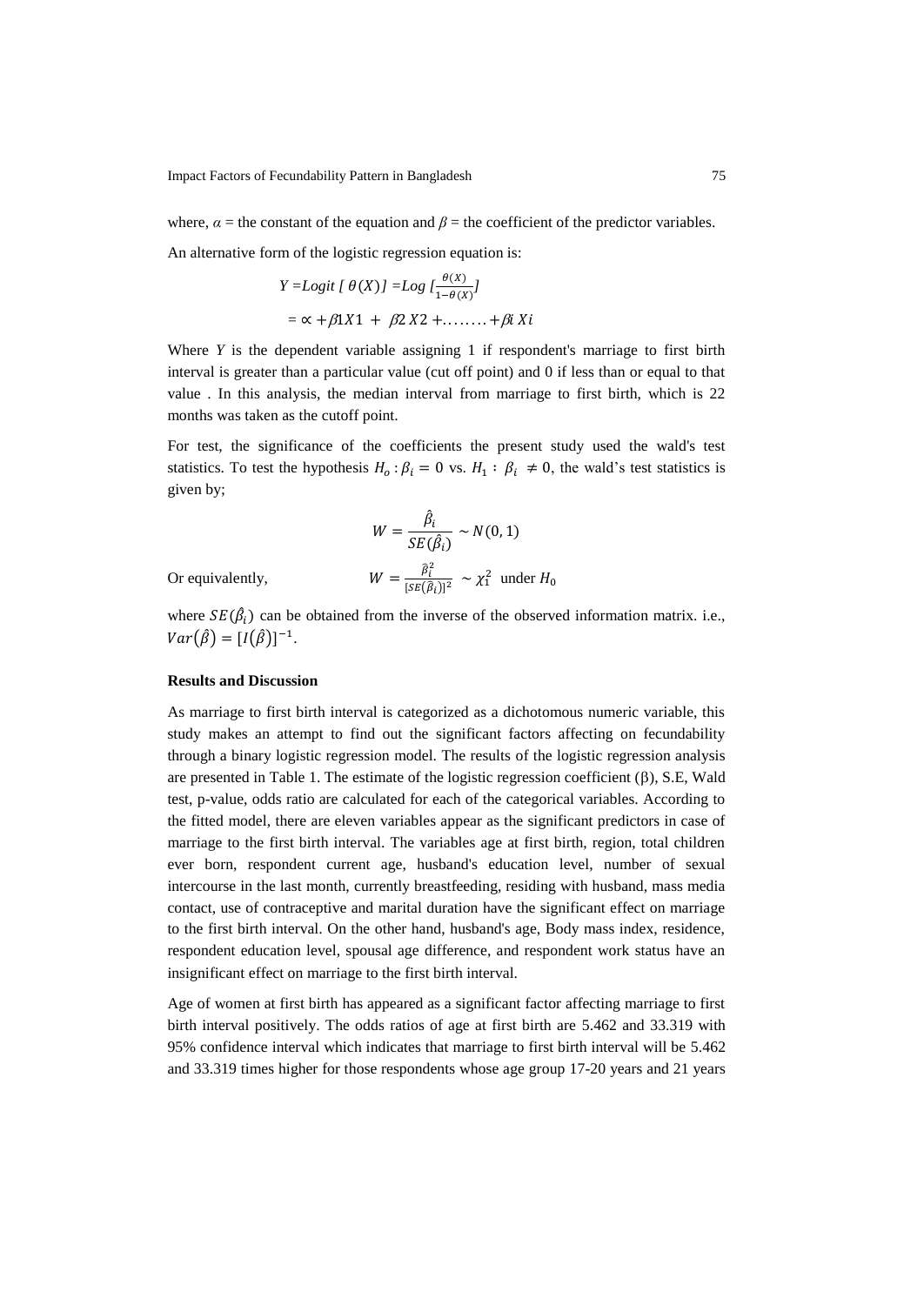Impact Factors of Fecundability Pattern in Bangladesh 75

where,  $\alpha$  = the constant of the equation and  $\beta$  = the coefficient of the predictor variables.

An alternative form of the logistic regression equation is:

$$
Y = Logit \{ \theta(X) \} = Log \{ \frac{\theta(X)}{1 - \theta(X)} \}
$$
  
=  $\alpha + \beta 1X1 + \beta 2X2 + \dots + \beta i Xi$ 

Where *Y* is the dependent variable assigning 1 if respondent's marriage to first birth interval is greater than a particular value (cut off point) and 0 if less than or equal to that value . In this analysis, the median interval from marriage to first birth, which is 22 months was taken as the cutoff point.

For test, the significance of the coefficients the present study used the wald's test statistics. To test the hypothesis  $H_0: \beta_i = 0$  vs.  $H_1: \beta_i \neq 0$ , the wald's test statistics is given by;

$$
W = \frac{\hat{\beta}_i}{SE(\hat{\beta}_i)} \sim N(0, 1)
$$

$$
W = \frac{\hat{\beta}_i^2}{[SE(\hat{\beta}_i)]^2} \sim \chi_1^2 \text{ under } \lambda
$$

Or equivalently,

where 
$$
SE(\hat{\beta}_i)
$$
 can be obtained from the inverse of the observed information matrix. i.e.,  $Var(\hat{\beta}) = [I(\hat{\beta})]^{-1}$ .

#### **Results and Discussion**

As marriage to first birth interval is categorized as a dichotomous numeric variable, this study makes an attempt to find out the significant factors affecting on fecundability through a binary logistic regression model. The results of the logistic regression analysis are presented in Table 1. The estimate of the logistic regression coefficient  $(\beta)$ , S.E, Wald test, p-value, odds ratio are calculated for each of the categorical variables. According to the fitted model, there are eleven variables appear as the significant predictors in case of marriage to the first birth interval. The variables age at first birth, region, total children ever born, respondent current age, husband's education level, number of sexual intercourse in the last month, currently breastfeeding, residing with husband, mass media contact, use of contraceptive and marital duration have the significant effect on marriage to the first birth interval. On the other hand, husband's age, Body mass index, residence, respondent education level, spousal age difference, and respondent work status have an insignificant effect on marriage to the first birth interval.

Age of women at first birth has appeared as a significant factor affecting marriage to first birth interval positively. The odds ratios of age at first birth are 5.462 and 33.319 with 95% confidence interval which indicates that marriage to first birth interval will be 5.462 and 33.319 times higher for those respondents whose age group 17-20 years and 21 years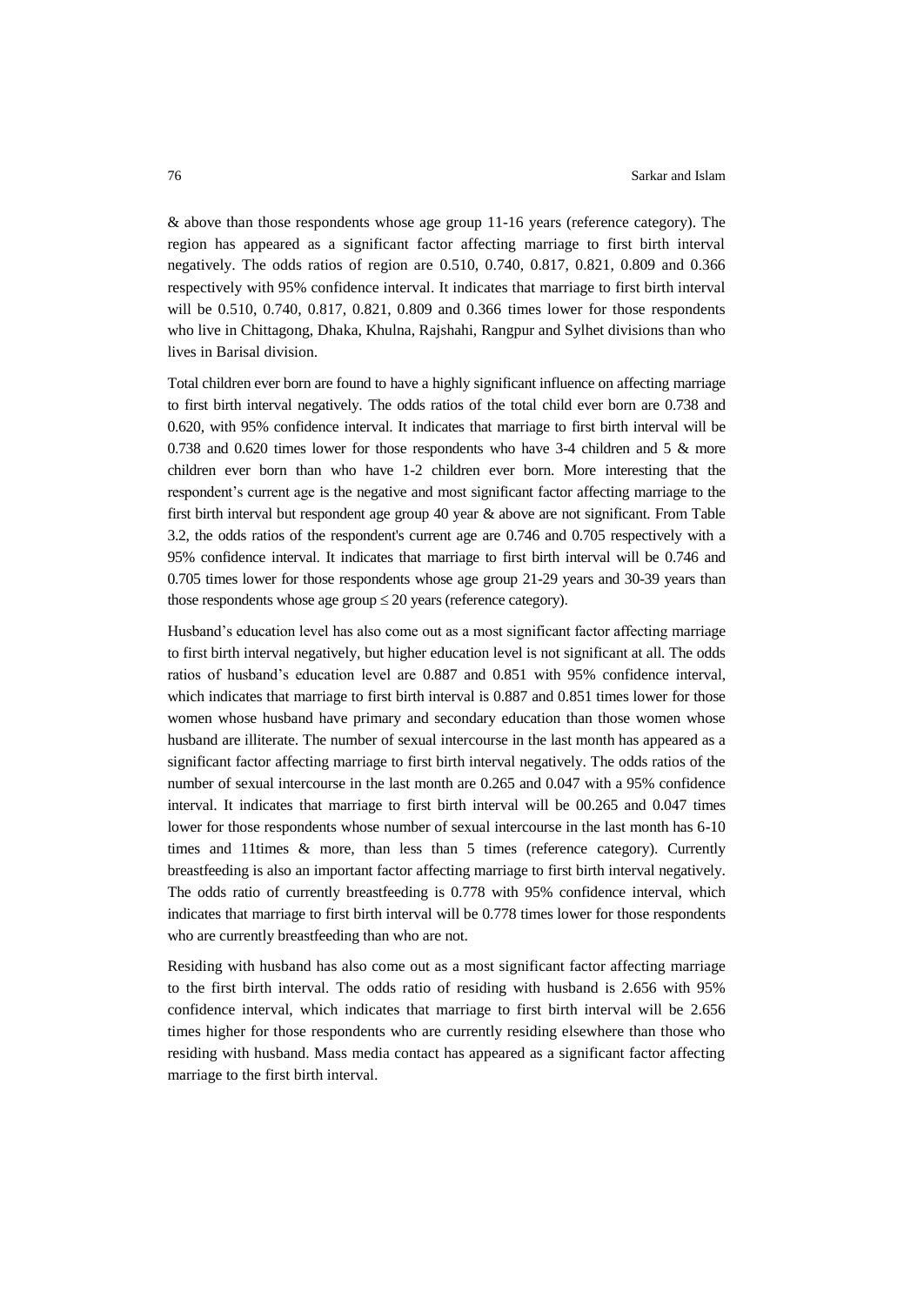& above than those respondents whose age group 11-16 years (reference category). The region has appeared as a significant factor affecting marriage to first birth interval negatively. The odds ratios of region are 0.510, 0.740, 0.817, 0.821, 0.809 and 0.366 respectively with 95% confidence interval. It indicates that marriage to first birth interval will be 0.510, 0.740, 0.817, 0.821, 0.809 and 0.366 times lower for those respondents who live in Chittagong, Dhaka, Khulna, Rajshahi, Rangpur and Sylhet divisions than who lives in Barisal division.

Total children ever born are found to have a highly significant influence on affecting marriage to first birth interval negatively. The odds ratios of the total child ever born are 0.738 and 0.620, with 95% confidence interval. It indicates that marriage to first birth interval will be 0.738 and 0.620 times lower for those respondents who have 3-4 children and 5 & more children ever born than who have 1-2 children ever born. More interesting that the respondent's current age is the negative and most significant factor affecting marriage to the first birth interval but respondent age group 40 year & above are not significant. From Table 3.2, the odds ratios of the respondent's current age are 0.746 and 0.705 respectively with a 95% confidence interval. It indicates that marriage to first birth interval will be 0.746 and 0.705 times lower for those respondents whose age group 21-29 years and 30-39 years than those respondents whose age group  $\leq 20$  years (reference category).

Husband's education level has also come out as a most significant factor affecting marriage to first birth interval negatively, but higher education level is not significant at all. The odds ratios of husband's education level are 0.887 and 0.851 with 95% confidence interval, which indicates that marriage to first birth interval is 0.887 and 0.851 times lower for those women whose husband have primary and secondary education than those women whose husband are illiterate. The number of sexual intercourse in the last month has appeared as a significant factor affecting marriage to first birth interval negatively. The odds ratios of the number of sexual intercourse in the last month are 0.265 and 0.047 with a 95% confidence interval. It indicates that marriage to first birth interval will be 00.265 and 0.047 times lower for those respondents whose number of sexual intercourse in the last month has 6-10 times and 11times & more, than less than 5 times (reference category). Currently breastfeeding is also an important factor affecting marriage to first birth interval negatively. The odds ratio of currently breastfeeding is 0.778 with 95% confidence interval, which indicates that marriage to first birth interval will be 0.778 times lower for those respondents who are currently breastfeeding than who are not.

Residing with husband has also come out as a most significant factor affecting marriage to the first birth interval. The odds ratio of residing with husband is 2.656 with 95% confidence interval, which indicates that marriage to first birth interval will be 2.656 times higher for those respondents who are currently residing elsewhere than those who residing with husband. Mass media contact has appeared as a significant factor affecting marriage to the first birth interval.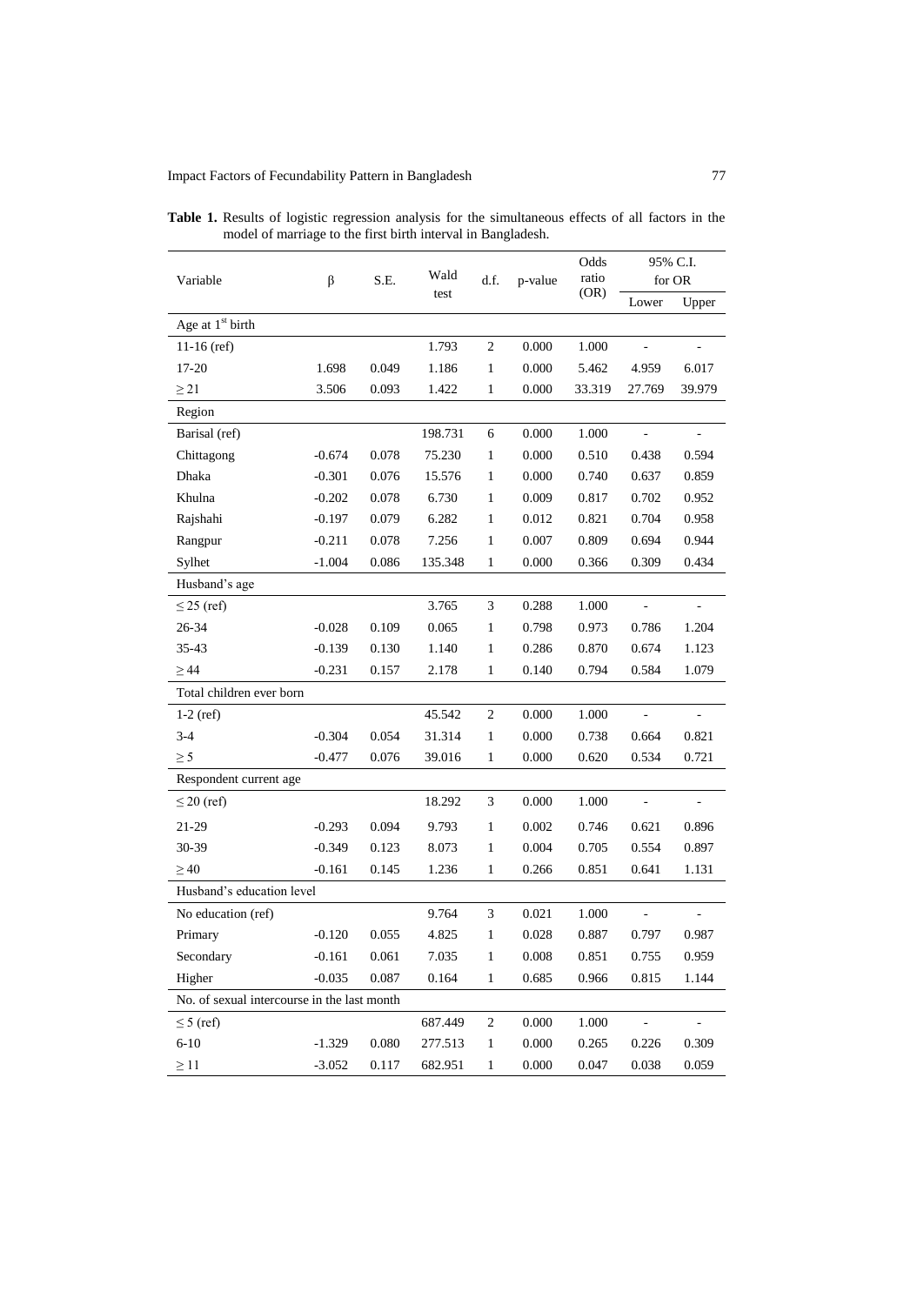## Impact Factors of Fecundability Pattern in Bangladesh 77

| Variable                                    | $\beta$  | S.E.  | Wald<br>test | d.f.         | p-value | Odds<br>ratio<br>(OR) | 95% C.I.<br>for OR |                          |
|---------------------------------------------|----------|-------|--------------|--------------|---------|-----------------------|--------------------|--------------------------|
|                                             |          |       |              |              |         |                       | Lower              | Upper                    |
| Age at $1st$ birth                          |          |       |              |              |         |                       |                    |                          |
| $11-16$ (ref)                               |          |       | 1.793        | 2            | 0.000   | 1.000                 |                    |                          |
| 17-20                                       | 1.698    | 0.049 | 1.186        | 1            | 0.000   | 5.462                 | 4.959              | 6.017                    |
| $\geq$ 21                                   | 3.506    | 0.093 | 1.422        | $\mathbf{1}$ | 0.000   | 33.319                | 27.769             | 39.979                   |
| Region                                      |          |       |              |              |         |                       |                    |                          |
| Barisal (ref)                               |          |       | 198.731      | 6            | 0.000   | 1.000                 |                    | $\blacksquare$           |
| Chittagong                                  | $-0.674$ | 0.078 | 75.230       | $\mathbf{1}$ | 0.000   | 0.510                 | 0.438              | 0.594                    |
| Dhaka                                       | $-0.301$ | 0.076 | 15.576       | $\mathbf{1}$ | 0.000   | 0.740                 | 0.637              | 0.859                    |
| Khulna                                      | $-0.202$ | 0.078 | 6.730        | $\mathbf{1}$ | 0.009   | 0.817                 | 0.702              | 0.952                    |
| Rajshahi                                    | $-0.197$ | 0.079 | 6.282        | $\mathbf{1}$ | 0.012   | 0.821                 | 0.704              | 0.958                    |
| Rangpur                                     | $-0.211$ | 0.078 | 7.256        | $\mathbf{1}$ | 0.007   | 0.809                 | 0.694              | 0.944                    |
| Sylhet                                      | $-1.004$ | 0.086 | 135.348      | $\mathbf{1}$ | 0.000   | 0.366                 | 0.309              | 0.434                    |
| Husband's age                               |          |       |              |              |         |                       |                    |                          |
| $\leq$ 25 (ref)                             |          |       | 3.765        | 3            | 0.288   | 1.000                 |                    |                          |
| 26-34                                       | $-0.028$ | 0.109 | 0.065        | 1            | 0.798   | 0.973                 | 0.786              | 1.204                    |
| 35-43                                       | $-0.139$ | 0.130 | 1.140        | $\mathbf{1}$ | 0.286   | 0.870                 | 0.674              | 1.123                    |
| $\geq$ 44                                   | $-0.231$ | 0.157 | 2.178        | $\mathbf{1}$ | 0.140   | 0.794                 | 0.584              | 1.079                    |
| Total children ever born                    |          |       |              |              |         |                       |                    |                          |
| $1-2$ (ref)                                 |          |       | 45.542       | $\sqrt{2}$   | 0.000   | 1.000                 |                    | $\overline{a}$           |
| $3 - 4$                                     | $-0.304$ | 0.054 | 31.314       | $\mathbf{1}$ | 0.000   | 0.738                 | 0.664              | 0.821                    |
| $\geq$ 5                                    | $-0.477$ | 0.076 | 39.016       | $\mathbf{1}$ | 0.000   | 0.620                 | 0.534              | 0.721                    |
| Respondent current age                      |          |       |              |              |         |                       |                    |                          |
| $\leq$ 20 (ref)                             |          |       | 18.292       | 3            | 0.000   | 1.000                 |                    | $\overline{\phantom{a}}$ |
| 21-29                                       | $-0.293$ | 0.094 | 9.793        | $\mathbf{1}$ | 0.002   | 0.746                 | 0.621              | 0.896                    |
| 30-39                                       | $-0.349$ | 0.123 | 8.073        | $\mathbf{1}$ | 0.004   | 0.705                 | 0.554              | 0.897                    |
| $\geq 40$                                   | $-0.161$ | 0.145 | 1.236        | 1            | 0.266   | 0.851                 | 0.641              | 1.131                    |
| Husband's education level                   |          |       |              |              |         |                       |                    |                          |
| No education (ref)                          |          |       | 9.764        | 3            | 0.021   | 1.000                 |                    |                          |
| Primary                                     | $-0.120$ | 0.055 | 4.825        | 1            | 0.028   | 0.887                 | 0.797              | 0.987                    |
| Secondary                                   | $-0.161$ | 0.061 | 7.035        | $\mathbf{1}$ | 0.008   | 0.851                 | 0.755              | 0.959                    |
| Higher                                      | $-0.035$ | 0.087 | 0.164        | $\mathbf{1}$ | 0.685   | 0.966                 | 0.815              | 1.144                    |
| No. of sexual intercourse in the last month |          |       |              |              |         |                       |                    |                          |
| $\leq$ 5 (ref)                              |          |       | 687.449      | $\sqrt{2}$   | 0.000   | 1.000                 | ÷,                 | ä,                       |
| $6 - 10$                                    | $-1.329$ | 0.080 | 277.513      | $\mathbf{1}$ | 0.000   | 0.265                 | 0.226              | 0.309                    |
| $\geq 11$                                   | $-3.052$ | 0.117 | 682.951      | $\mathbf{1}$ | 0.000   | 0.047                 | 0.038              | 0.059                    |

**Table 1.** Results of logistic regression analysis for the simultaneous effects of all factors in the model of marriage to the first birth interval in Bangladesh.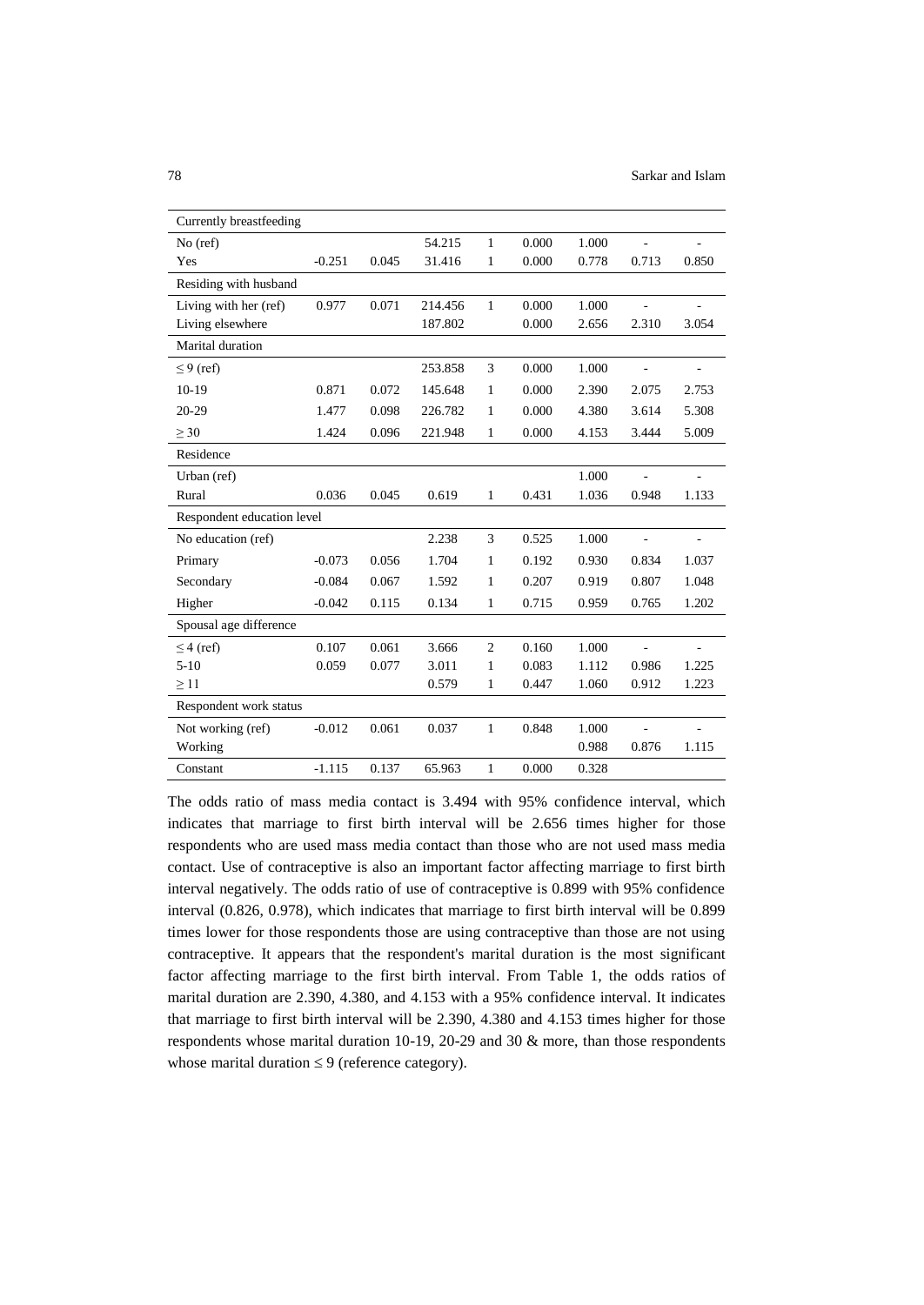| Currently breastfeeding    |          |       |         |                |       |       |                          |       |  |
|----------------------------|----------|-------|---------|----------------|-------|-------|--------------------------|-------|--|
| $No$ (ref)                 |          |       | 54.215  | 1              | 0.000 | 1.000 |                          | ÷,    |  |
| Yes                        | $-0.251$ | 0.045 | 31.416  | 1              | 0.000 | 0.778 | 0.713                    | 0.850 |  |
| Residing with husband      |          |       |         |                |       |       |                          |       |  |
| Living with her (ref)      | 0.977    | 0.071 | 214.456 | $\mathbf{1}$   | 0.000 | 1.000 |                          |       |  |
| Living elsewhere           |          |       | 187.802 |                | 0.000 | 2.656 | 2.310                    | 3.054 |  |
| Marital duration           |          |       |         |                |       |       |                          |       |  |
| $\leq$ 9 (ref)             |          |       | 253.858 | 3              | 0.000 | 1.000 | L.                       |       |  |
| $10-19$                    | 0.871    | 0.072 | 145.648 | 1              | 0.000 | 2.390 | 2.075                    | 2.753 |  |
| $20 - 29$                  | 1.477    | 0.098 | 226.782 | 1              | 0.000 | 4.380 | 3.614                    | 5.308 |  |
| > 30                       | 1.424    | 0.096 | 221.948 | $\mathbf{1}$   | 0.000 | 4.153 | 3.444                    | 5.009 |  |
| Residence                  |          |       |         |                |       |       |                          |       |  |
| Urban (ref)                |          |       |         |                |       | 1.000 |                          |       |  |
| Rural                      | 0.036    | 0.045 | 0.619   | 1              | 0.431 | 1.036 | 0.948                    | 1.133 |  |
| Respondent education level |          |       |         |                |       |       |                          |       |  |
| No education (ref)         |          |       | 2.238   | 3              | 0.525 | 1.000 | $\overline{\phantom{a}}$ |       |  |
| Primary                    | $-0.073$ | 0.056 | 1.704   | 1              | 0.192 | 0.930 | 0.834                    | 1.037 |  |
| Secondary                  | $-0.084$ | 0.067 | 1.592   | 1              | 0.207 | 0.919 | 0.807                    | 1.048 |  |
| Higher                     | $-0.042$ | 0.115 | 0.134   | 1              | 0.715 | 0.959 | 0.765                    | 1.202 |  |
| Spousal age difference     |          |       |         |                |       |       |                          |       |  |
| $\leq$ 4 (ref)             | 0.107    | 0.061 | 3.666   | $\overline{2}$ | 0.160 | 1.000 | $\sim$                   |       |  |
| $5 - 10$                   | 0.059    | 0.077 | 3.011   | 1              | 0.083 | 1.112 | 0.986                    | 1.225 |  |
| $\geq$ 11                  |          |       | 0.579   | 1              | 0.447 | 1.060 | 0.912                    | 1.223 |  |
| Respondent work status     |          |       |         |                |       |       |                          |       |  |
| Not working (ref)          | $-0.012$ | 0.061 | 0.037   | 1              | 0.848 | 1.000 |                          |       |  |
| Working                    |          |       |         |                |       | 0.988 | 0.876                    | 1.115 |  |
| Constant                   | $-1.115$ | 0.137 | 65.963  | $\mathbf{1}$   | 0.000 | 0.328 |                          |       |  |

The odds ratio of mass media contact is 3.494 with 95% confidence interval, which indicates that marriage to first birth interval will be 2.656 times higher for those respondents who are used mass media contact than those who are not used mass media contact. Use of contraceptive is also an important factor affecting marriage to first birth interval negatively. The odds ratio of use of contraceptive is 0.899 with 95% confidence interval (0.826, 0.978), which indicates that marriage to first birth interval will be 0.899 times lower for those respondents those are using contraceptive than those are not using contraceptive. It appears that the respondent's marital duration is the most significant factor affecting marriage to the first birth interval. From Table 1, the odds ratios of marital duration are 2.390, 4.380, and 4.153 with a 95% confidence interval. It indicates that marriage to first birth interval will be 2.390, 4.380 and 4.153 times higher for those respondents whose marital duration 10-19, 20-29 and 30 & more, than those respondents whose marital duration  $\leq 9$  (reference category).